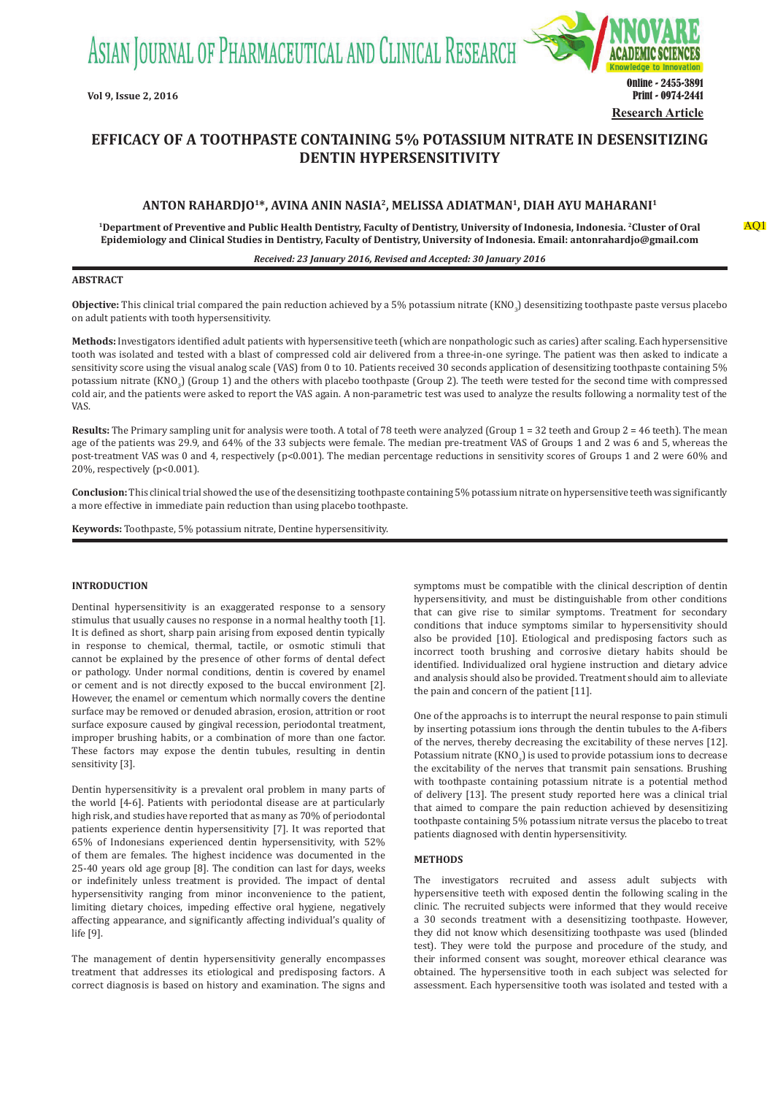ASIAN JOURNAL OF PHARMACEUTICAL AND CLINICAL RESEARCH



# **EFFICACY OF A TOOTHPASTE CONTAINING 5% POTASSIUM NITRATE IN DESENSITIZING DENTIN HYPERSENSITIVITY**

# **ANTON RAHARDJO1\*, AVINA ANIN NASIA2, MELISSA ADIATMAN1, DIAH AYU MAHARANI1**

**1Department of Preventive and Public Health Dentistry, Faculty of Dentistry, University of Indonesia, Indonesia. 2Cluster of Oral Epidemiology and Clinical Studies in Dentistry, Faculty of Dentistry, University of Indonesia. Email: antonrahardjo@gmail.com**

#### *Received: 23 January 2016, Revised and Accepted: 30 January 2016*

## **ABSTRACT**

**Objective:** This clinical trial compared the pain reduction achieved by a 5% potassium nitrate (KNO<sub>3</sub>) desensitizing toothpaste paste versus placebo on adult patients with tooth hypersensitivity.

**Methods:** Investigators identified adult patients with hypersensitive teeth (which are nonpathologic such as caries) after scaling. Each hypersensitive tooth was isolated and tested with a blast of compressed cold air delivered from a three-in-one syringe. The patient was then asked to indicate a sensitivity score using the visual analog scale (VAS) from 0 to 10. Patients received 30 seconds application of desensitizing toothpaste containing 5% potassium nitrate  $(KNO<sub>3</sub>)$  (Group 1) and the others with placebo toothpaste (Group 2). The teeth were tested for the second time with compressed cold air, and the patients were asked to report the VAS again. A non-parametric test was used to analyze the results following a normality test of the VAS.

Results: The Primary sampling unit for analysis were tooth. A total of 78 teeth were analyzed (Group 1 = 32 teeth and Group 2 = 46 teeth). The mean age of the patients was 29.9, and 64% of the 33 subjects were female. The median pre-treatment VAS of Groups 1 and 2 was 6 and 5, whereas the post-treatment VAS was 0 and 4, respectively (p<0.001). The median percentage reductions in sensitivity scores of Groups 1 and 2 were 60% and 20%, respectively (p<0.001).

**Conclusion:** This clinical trial showed the use of the desensitizing toothpaste containing 5% potassium nitrate on hypersensitive teeth was significantly a more effective in immediate pain reduction than using placebo toothpaste.

**Keywords:** Toothpaste, 5% potassium nitrate, Dentine hypersensitivity.

# **INTRODUCTION**

Dentinal hypersensitivity is an exaggerated response to a sensory stimulus that usually causes no response in a normal healthy tooth [1]. It is defined as short, sharp pain arising from exposed dentin typically in response to chemical, thermal, tactile, or osmotic stimuli that cannot be explained by the presence of other forms of dental defect or pathology. Under normal conditions, dentin is covered by enamel or cement and is not directly exposed to the buccal environment [2]. However, the enamel or cementum which normally covers the dentine surface may be removed or denuded abrasion, erosion, attrition or root surface exposure caused by gingival recession, periodontal treatment, improper brushing habits, or a combination of more than one factor. These factors may expose the dentin tubules, resulting in dentin sensitivity [3].

Dentin hypersensitivity is a prevalent oral problem in many parts of the world [4-6]. Patients with periodontal disease are at particularly high risk, and studies have reported that as many as 70% of periodontal patients experience dentin hypersensitivity [7]. It was reported that 65% of Indonesians experienced dentin hypersensitivity, with 52% of them are females. The highest incidence was documented in the 25-40 years old age group [8]. The condition can last for days, weeks or indefinitely unless treatment is provided. The impact of dental hypersensitivity ranging from minor inconvenience to the patient, limiting dietary choices, impeding effective oral hygiene, negatively affecting appearance, and significantly affecting individual's quality of life [9].

The management of dentin hypersensitivity generally encompasses treatment that addresses its etiological and predisposing factors. A correct diagnosis is based on history and examination. The signs and symptoms must be compatible with the clinical description of dentin hypersensitivity, and must be distinguishable from other conditions that can give rise to similar symptoms. Treatment for secondary conditions that induce symptoms similar to hypersensitivity should also be provided [10]. Etiological and predisposing factors such as incorrect tooth brushing and corrosive dietary habits should be identified. Individualized oral hygiene instruction and dietary advice and analysis should also be provided. Treatment should aim to alleviate the pain and concern of the patient [11].

One of the approachs is to interrupt the neural response to pain stimuli by inserting potassium ions through the dentin tubules to the A-fibers of the nerves, thereby decreasing the excitability of these nerves [12]. Potassium nitrate  $\left(\text{KNO}_3\right)$  is used to provide potassium ions to decrease the excitability of the nerves that transmit pain sensations. Brushing with toothpaste containing potassium nitrate is a potential method of delivery [13]. The present study reported here was a clinical trial that aimed to compare the pain reduction achieved by desensitizing toothpaste containing 5% potassium nitrate versus the placebo to treat patients diagnosed with dentin hypersensitivity.

# **METHODS**

The investigators recruited and assess adult subjects with hypersensitive teeth with exposed dentin the following scaling in the clinic. The recruited subjects were informed that they would receive a 30 seconds treatment with a desensitizing toothpaste. However, they did not know which desensitizing toothpaste was used (blinded test). They were told the purpose and procedure of the study, and their informed consent was sought, moreover ethical clearance was obtained. The hypersensitive tooth in each subject was selected for assessment. Each hypersensitive tooth was isolated and tested with a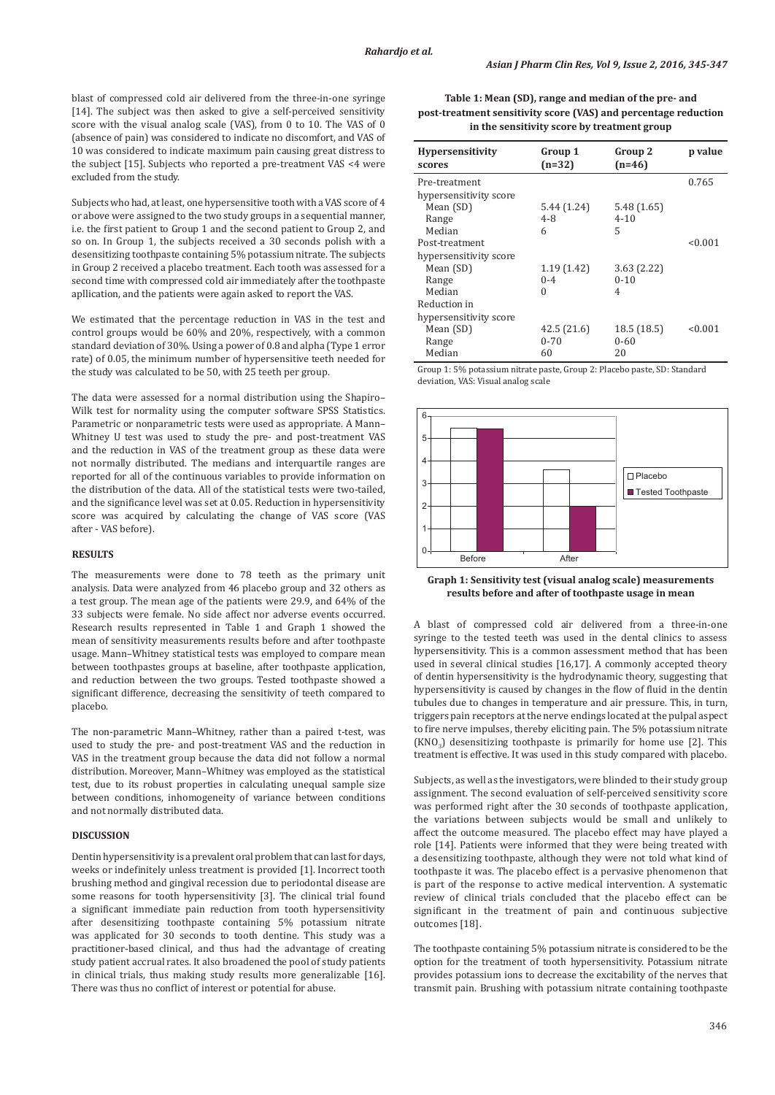blast of compressed cold air delivered from the three-in-one syringe [14]. The subject was then asked to give a self-perceived sensitivity score with the visual analog scale (VAS), from 0 to 10. The VAS of 0 (absence of pain) was considered to indicate no discomfort, and VAS of 10 was considered to indicate maximum pain causing great distress to the subject [15]. Subjects who reported a pre-treatment VAS <4 were excluded from the study.

Subjects who had, at least, one hypersensitive tooth with a VAS score of 4 or above were assigned to the two study groups in a sequential manner, i.e. the first patient to Group 1 and the second patient to Group 2, and so on. In Group 1, the subjects received a 30 seconds polish with a desensitizing toothpaste containing 5% potassium nitrate. The subjects in Group 2 received a placebo treatment. Each tooth was assessed for a second time with compressed cold air immediately after the toothpaste apllication, and the patients were again asked to report the VAS.

We estimated that the percentage reduction in VAS in the test and control groups would be 60% and 20%, respectively, with a common standard deviation of 30%. Using a power of 0.8 and alpha (Type 1 error rate) of 0.05, the minimum number of hypersensitive teeth needed for the study was calculated to be 50, with 25 teeth per group.

The data were assessed for a normal distribution using the Shapiro– Wilk test for normality using the computer software SPSS Statistics. Parametric or nonparametric tests were used as appropriate. A Mann– Whitney U test was used to study the pre- and post-treatment VAS and the reduction in VAS of the treatment group as these data were not normally distributed. The medians and interquartile ranges are reported for all of the continuous variables to provide information on the distribution of the data. All of the statistical tests were two-tailed, and the significance level was set at 0.05. Reduction in hypersensitivity score was acquired by calculating the change of VAS score (VAS after - VAS before).

#### **RESULTS**

The measurements were done to 78 teeth as the primary unit analysis. Data were analyzed from 46 placebo group and 32 others as a test group. The mean age of the patients were 29.9, and 64% of the 33 subjects were female. No side affect nor adverse events occurred. Research results represented in Table 1 and Graph 1 showed the mean of sensitivity measurements results before and after toothpaste usage. Mann–Whitney statistical tests was employed to compare mean between toothpastes groups at baseline, after toothpaste application, and reduction between the two groups. Tested toothpaste showed a significant difference, decreasing the sensitivity of teeth compared to placebo.

The non-parametric Mann–Whitney, rather than a paired t-test, was used to study the pre- and post-treatment VAS and the reduction in VAS in the treatment group because the data did not follow a normal distribution. Moreover, Mann–Whitney was employed as the statistical test, due to its robust properties in calculating unequal sample size between conditions, inhomogeneity of variance between conditions and not normally distributed data.

## **DISCUSSION**

Dentin hypersensitivity is a prevalent oral problem that can last for days, weeks or indefinitely unless treatment is provided [1]. Incorrect tooth brushing method and gingival recession due to periodontal disease are some reasons for tooth hypersensitivity [3]. The clinical trial found a significant immediate pain reduction from tooth hypersensitivity after desensitizing toothpaste containing 5% potassium nitrate was applicated for 30 seconds to tooth dentine. This study was a practitioner-based clinical, and thus had the advantage of creating study patient accrual rates. It also broadened the pool of study patients in clinical trials, thus making study results more generalizable [16]. There was thus no conflict of interest or potential for abuse.

**Table 1: Mean (SD), range and median of the pre‑ and post‑treatment sensitivity score (VAS) and percentage reduction in the sensitivity score by treatment group**

| <b>Hypersensitivity</b><br>scores | Group 1<br>$(n=32)$ | Group 2<br>$(n=46)$ | p value |
|-----------------------------------|---------------------|---------------------|---------|
| Pre-treatment                     |                     |                     | 0.765   |
| hypersensitivity score            |                     |                     |         |
| Mean (SD)                         | 5.44 (1.24)         | 5.48(1.65)          |         |
| Range                             | 4-8                 | $4 - 10$            |         |
| Median                            | 6                   | 5                   |         |
| Post-treatment                    |                     |                     | < 0.001 |
| hypersensitivity score            |                     |                     |         |
| Mean (SD)                         | 1.19(1.42)          | 3.63(2.22)          |         |
| Range                             | $0 - 4$             | $0 - 10$            |         |
| Median                            | $\theta$            | 4                   |         |
| Reduction in                      |                     |                     |         |
| hypersensitivity score            |                     |                     |         |
| Mean (SD)                         | 42.5(21.6)          | 18.5(18.5)          | < 0.001 |
| Range                             | $0 - 70$            | $0 - 60$            |         |
| Median                            | 60                  | 20                  |         |

Group 1: 5% potassium nitrate paste, Group 2: Placebo paste, SD: Standard deviation, VAS: Visual analog scale



**Graph 1: Sensitivity test (visual analog scale) measurements results before and after of toothpaste usage in mean**

A blast of compressed cold air delivered from a three-in-one syringe to the tested teeth was used in the dental clinics to assess hypersensitivity. This is a common assessment method that has been used in several clinical studies [16,17]. A commonly accepted theory of dentin hypersensitivity is the hydrodynamic theory, suggesting that hypersensitivity is caused by changes in the flow of fluid in the dentin tubules due to changes in temperature and air pressure. This, in turn, triggers pain receptors at the nerve endings located at the pulpal aspect to fire nerve impulses, thereby eliciting pain. The 5% potassium nitrate  $(KNO<sub>3</sub>)$  desensitizing toothpaste is primarily for home use [2]. This treatment is effective. It was used in this study compared with placebo.

Subjects, as well as the investigators, were blinded to their study group assignment. The second evaluation of self-perceived sensitivity score was performed right after the 30 seconds of toothpaste application, the variations between subjects would be small and unlikely to affect the outcome measured. The placebo effect may have played a role [14]. Patients were informed that they were being treated with a desensitizing toothpaste, although they were not told what kind of toothpaste it was. The placebo effect is a pervasive phenomenon that is part of the response to active medical intervention. A systematic review of clinical trials concluded that the placebo effect can be significant in the treatment of pain and continuous subjective outcomes [18].

The toothpaste containing 5% potassium nitrate is considered to be the option for the treatment of tooth hypersensitivity. Potassium nitrate provides potassium ions to decrease the excitability of the nerves that transmit pain. Brushing with potassium nitrate containing toothpaste